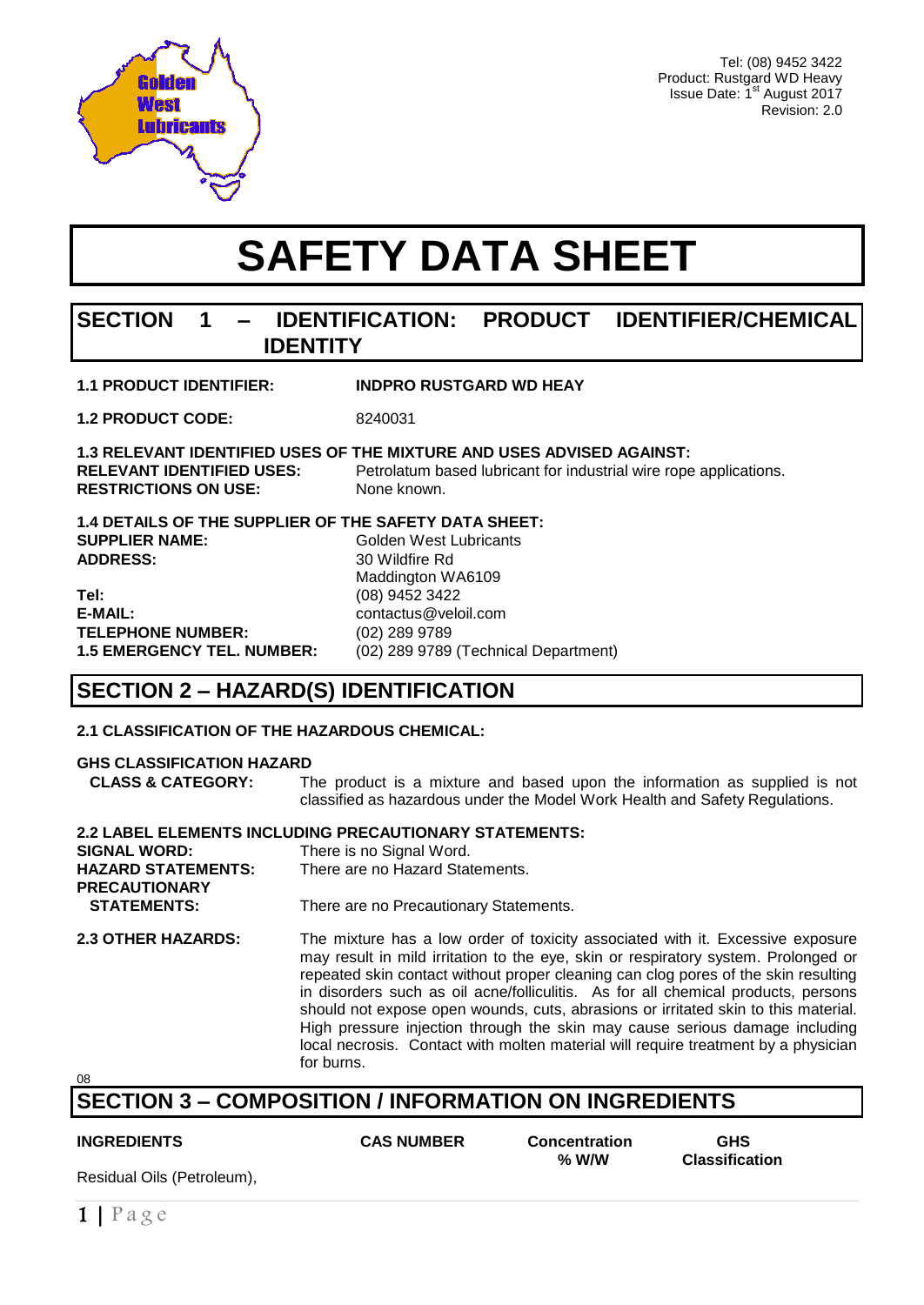

Tel: (08) 9452 3422 Product: Rustgard WD Heavy Issue Date: 1<sup>st</sup> August 2017 Revision: 2.0

# **SAFETY DATA SHEET**

# **SECTION 1 – IDENTIFICATION: PRODUCT IDENTIFIER/CHEMICAL IDENTITY**

| <b>1.1 PRODUCT IDENTIFIER:</b> | <b>INDPRO RUSTGARD WD HEAY</b> |
|--------------------------------|--------------------------------|
|                                |                                |

**1.2 PRODUCT CODE:** 8240031

#### **1.3 RELEVANT IDENTIFIED USES OF THE MIXTURE AND USES ADVISED AGAINST:**

**RELEVANT IDENTIFIED USES:** Petrolatum based lubricant for industrial wire rope applications. **RESTRICTIONS ON USE:** None known.

**1.4 DETAILS OF THE SUPPLIER OF THE SAFETY DATA SHEET: SUPPLIER NAME:** Golden West Lubricants **ADDRESS:** 30 Wildfire Rd Maddington WA6109 **Tel:** (08) 9452 3422 **E-MAIL:** contactus@veloil.com **TELEPHONE NUMBER:** (02) 289 9789

**1.5 EMERGENCY TEL. NUMBER:** (02) 289 9789 (Technical Department)

# **SECTION 2 – HAZARD(S) IDENTIFICATION**

#### **2.1 CLASSIFICATION OF THE HAZARDOUS CHEMICAL:**

#### **GHS CLASSIFICATION HAZARD**

 **CLASS & CATEGORY:** The product is a mixture and based upon the information as supplied is not classified as hazardous under the Model Work Health and Safety Regulations.

#### **2.2 LABEL ELEMENTS INCLUDING PRECAUTIONARY STATEMENTS:**

| <b>SIGNAL WORD:</b>       | There is no Signal Word.               |
|---------------------------|----------------------------------------|
| <b>HAZARD STATEMENTS:</b> | There are no Hazard Statements.        |
| <b>PRECAUTIONARY</b>      |                                        |
| <b>STATEMENTS:</b>        | There are no Precautionary Statements. |

**2.3 OTHER HAZARDS:** The mixture has a low order of toxicity associated with it. Excessive exposure may result in mild irritation to the eye, skin or respiratory system. Prolonged or repeated skin contact without proper cleaning can clog pores of the skin resulting in disorders such as oil acne/folliculitis. As for all chemical products, persons should not expose open wounds, cuts, abrasions or irritated skin to this material. High pressure injection through the skin may cause serious damage including local necrosis. Contact with molten material will require treatment by a physician for burns.

08

# **SECTION 3 – COMPOSITION / INFORMATION ON INGREDIENTS**

**INGREDIENTS CAS NUMBER Concentration GHS % W/W Classification**

Residual Oils (Petroleum),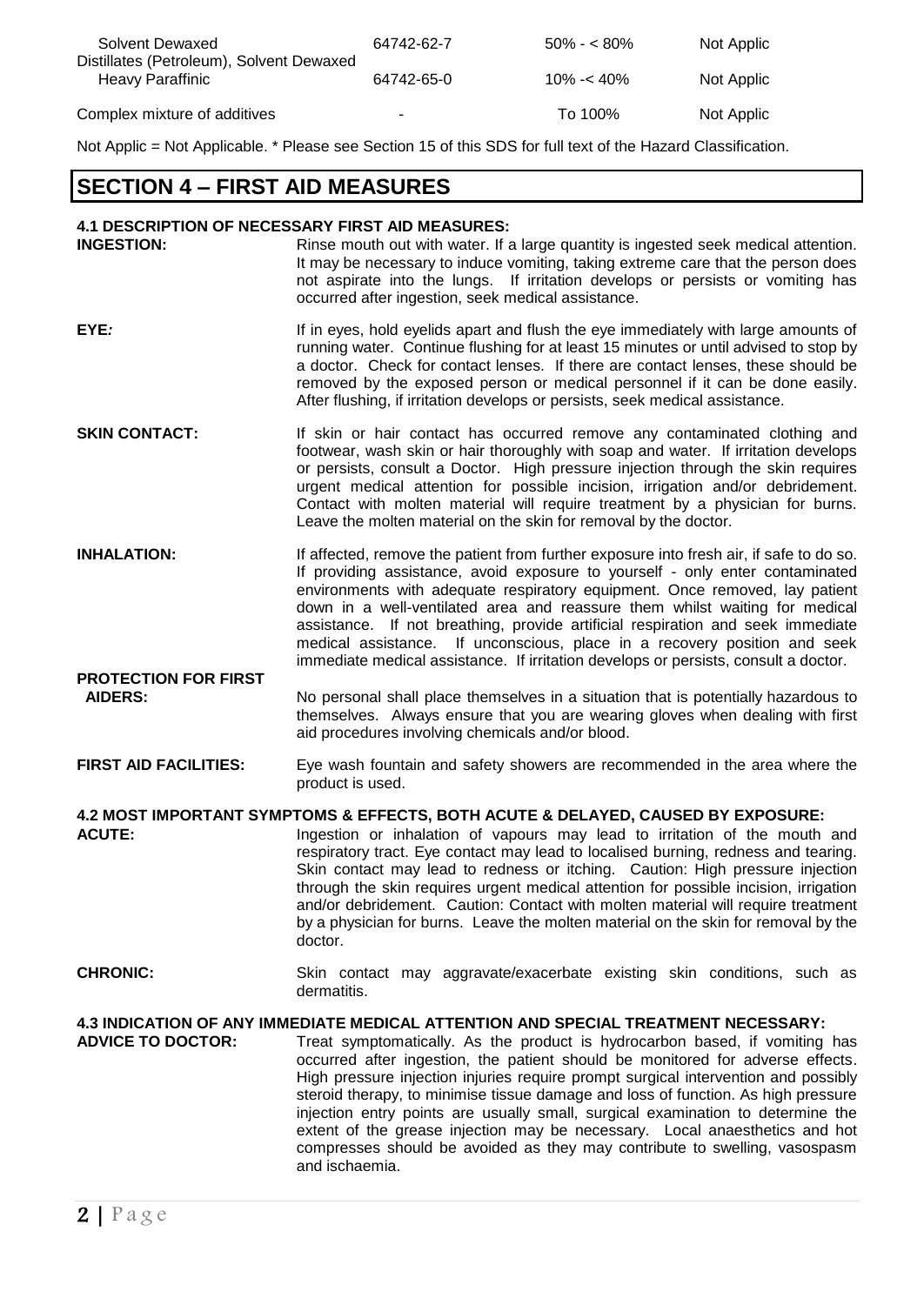| Solvent Dewaxed<br>Distillates (Petroleum), Solvent Dewaxed | 64742-62-7     | $50\% - 80\%$ | Not Applic |
|-------------------------------------------------------------|----------------|---------------|------------|
| Heavy Paraffinic                                            | 64742-65-0     | $10\% - 40\%$ | Not Applic |
| Complex mixture of additives                                | $\blacksquare$ | To 100%       | Not Applic |

Not Applic = Not Applicable. \* Please see Section 15 of this SDS for full text of the Hazard Classification.

# **SECTION 4 – FIRST AID MEASURES**

#### **4.1 DESCRIPTION OF NECESSARY FIRST AID MEASURES:**

| <b>INGESTION:</b>    | Rinse mouth out with water. If a large quantity is ingested seek medical attention.<br>It may be necessary to induce vomiting, taking extreme care that the person does<br>not aspirate into the lungs. If irritation develops or persists or vomiting has<br>occurred after ingestion, seek medical assistance.                                                                                                               |
|----------------------|--------------------------------------------------------------------------------------------------------------------------------------------------------------------------------------------------------------------------------------------------------------------------------------------------------------------------------------------------------------------------------------------------------------------------------|
| EYE:                 | If in eyes, hold eyelids apart and flush the eye immediately with large amounts of<br>running water. Continue flushing for at least 15 minutes or until advised to stop by<br>a doctor. Check for contact lenses. If there are contact lenses, these should be<br>removed by the exposed person or medical personnel if it can be done easily.<br>After flushing, if irritation develops or persists, seek medical assistance. |
| <b>SKIN CONTACT:</b> | If skin or hair contact has occurred remove any contaminated clothing and<br>footwear, wash skin or hair thoroughly with soap and water. If irritation develops                                                                                                                                                                                                                                                                |

- or persists, consult a Doctor. High pressure injection through the skin requires urgent medical attention for possible incision, irrigation and/or debridement. Contact with molten material will require treatment by a physician for burns. Leave the molten material on the skin for removal by the doctor.
- **INHALATION:** If affected, remove the patient from further exposure into fresh air, if safe to do so. If providing assistance, avoid exposure to yourself - only enter contaminated environments with adequate respiratory equipment. Once removed, lay patient down in a well-ventilated area and reassure them whilst waiting for medical assistance. If not breathing, provide artificial respiration and seek immediate medical assistance. If unconscious, place in a recovery position and seek immediate medical assistance. If irritation develops or persists, consult a doctor.
- **PROTECTION FOR FIRST AIDERS:** No personal shall place themselves in a situation that is potentially hazardous to themselves. Always ensure that you are wearing gloves when dealing with first aid procedures involving chemicals and/or blood.
- **FIRST AID FACILITIES:** Eye wash fountain and safety showers are recommended in the area where the product is used.

**4.2 MOST IMPORTANT SYMPTOMS & EFFECTS, BOTH ACUTE & DELAYED, CAUSED BY EXPOSURE:**

**ACUTE:** Ingestion or inhalation of vapours may lead to irritation of the mouth and respiratory tract. Eye contact may lead to localised burning, redness and tearing. Skin contact may lead to redness or itching. Caution: High pressure injection through the skin requires urgent medical attention for possible incision, irrigation and/or debridement. Caution: Contact with molten material will require treatment by a physician for burns. Leave the molten material on the skin for removal by the doctor.

**CHRONIC:** Skin contact may aggravate/exacerbate existing skin conditions, such as dermatitis.

#### **4.3 INDICATION OF ANY IMMEDIATE MEDICAL ATTENTION AND SPECIAL TREATMENT NECESSARY:**

**ADVICE TO DOCTOR:** Treat symptomatically. As the product is hydrocarbon based, if vomiting has occurred after ingestion, the patient should be monitored for adverse effects. High pressure injection injuries require prompt surgical intervention and possibly steroid therapy, to minimise tissue damage and loss of function. As high pressure injection entry points are usually small, surgical examination to determine the extent of the grease injection may be necessary. Local anaesthetics and hot compresses should be avoided as they may contribute to swelling, vasospasm and ischaemia.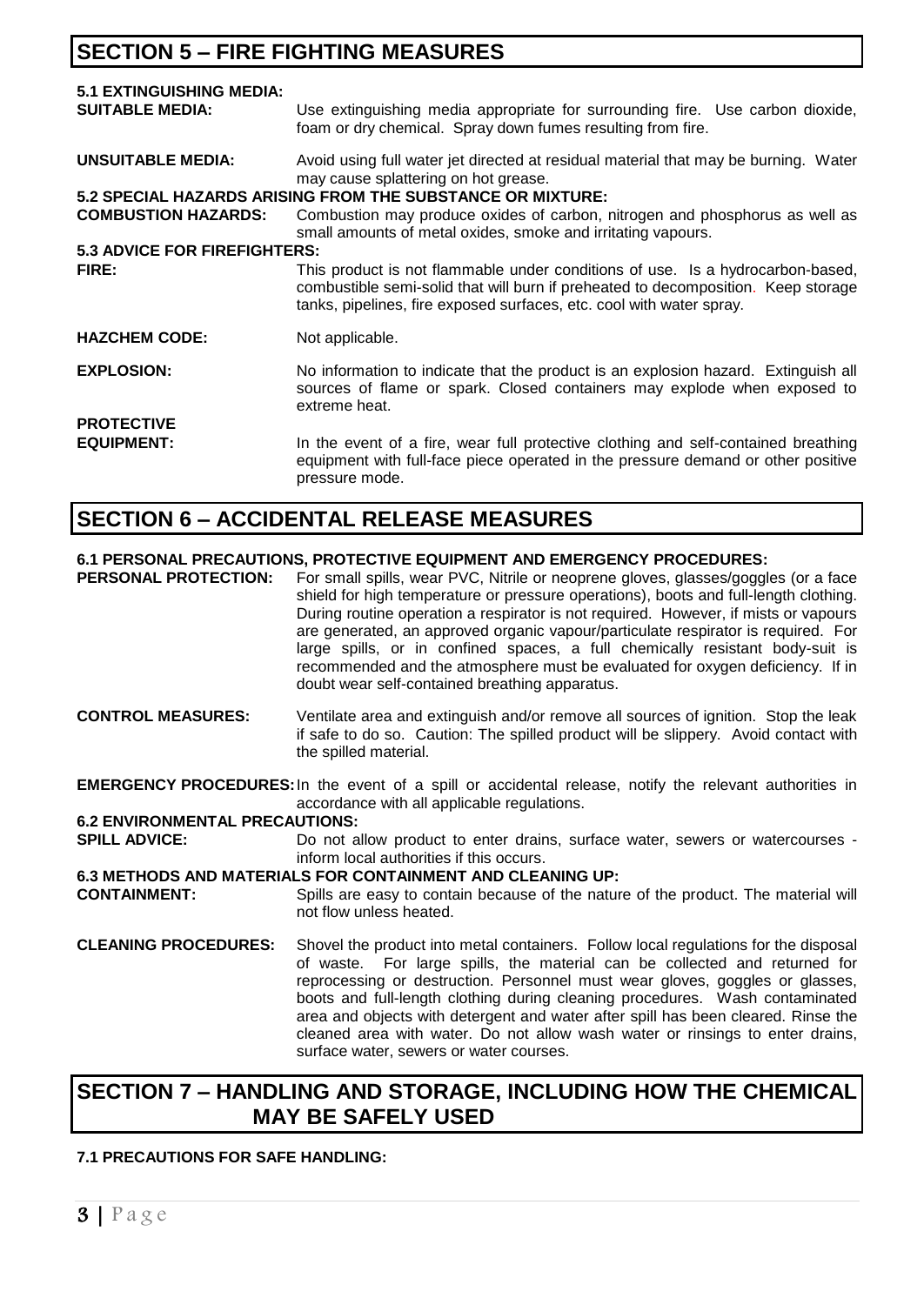# **SECTION 5 – FIRE FIGHTING MEASURES**

| <b>5.1 EXTINGUISHING MEDIA:</b><br><b>SUITABLE MEDIA:</b> | Use extinguishing media appropriate for surrounding fire. Use carbon dioxide,<br>foam or dry chemical. Spray down fumes resulting from fire.                                                                                                |
|-----------------------------------------------------------|---------------------------------------------------------------------------------------------------------------------------------------------------------------------------------------------------------------------------------------------|
| UNSUITABLE MEDIA:                                         | Avoid using full water jet directed at residual material that may be burning. Water<br>may cause splattering on hot grease.<br>5.2 SPECIAL HAZARDS ARISING FROM THE SUBSTANCE OR MIXTURE:                                                   |
| <b>COMBUSTION HAZARDS:</b>                                | Combustion may produce oxides of carbon, nitrogen and phosphorus as well as<br>small amounts of metal oxides, smoke and irritating vapours.                                                                                                 |
| <b>5.3 ADVICE FOR FIREFIGHTERS:</b>                       |                                                                                                                                                                                                                                             |
| FIRE:                                                     | This product is not flammable under conditions of use. Is a hydrocarbon-based,<br>combustible semi-solid that will burn if preheated to decomposition. Keep storage<br>tanks, pipelines, fire exposed surfaces, etc. cool with water spray. |
| <b>HAZCHEM CODE:</b>                                      | Not applicable.                                                                                                                                                                                                                             |
| <b>EXPLOSION:</b>                                         | No information to indicate that the product is an explosion hazard. Extinguish all<br>sources of flame or spark. Closed containers may explode when exposed to<br>extreme heat.                                                             |
| <b>PROTECTIVE</b>                                         |                                                                                                                                                                                                                                             |
| <b>EQUIPMENT:</b>                                         | In the event of a fire, wear full protective clothing and self-contained breathing<br>equipment with full-face piece operated in the pressure demand or other positive<br>pressure mode.                                                    |

# **SECTION 6 – ACCIDENTAL RELEASE MEASURES**

#### **6.1 PERSONAL PRECAUTIONS, PROTECTIVE EQUIPMENT AND EMERGENCY PROCEDURES:**

**PERSONAL PROTECTION:** For small spills, wear PVC, Nitrile or neoprene gloves, glasses/goggles (or a face shield for high temperature or pressure operations), boots and full-length clothing. During routine operation a respirator is not required. However, if mists or vapours are generated, an approved organic vapour/particulate respirator is required. For large spills, or in confined spaces, a full chemically resistant body-suit is recommended and the atmosphere must be evaluated for oxygen deficiency. If in doubt wear self-contained breathing apparatus.

- **CONTROL MEASURES:** Ventilate area and extinguish and/or remove all sources of ignition. Stop the leak if safe to do so. Caution: The spilled product will be slippery. Avoid contact with the spilled material.
- **EMERGENCY PROCEDURES:**In the event of a spill or accidental release, notify the relevant authorities in accordance with all applicable regulations.

# **6.2 ENVIRONMENTAL PRECAUTIONS:**<br>**SPILL ADVICE:** Do not a

Do not allow product to enter drains, surface water, sewers or watercourses inform local authorities if this occurs.

# **6.3 METHODS AND MATERIALS FOR CONTAINMENT AND CLEANING UP:**<br>CONTAINMENT: Spills are easy to contain because of the nature

- Spills are easy to contain because of the nature of the product. The material will not flow unless heated.
- **CLEANING PROCEDURES:** Shovel the product into metal containers. Follow local regulations for the disposal of waste. For large spills, the material can be collected and returned for reprocessing or destruction. Personnel must wear gloves, goggles or glasses, boots and full-length clothing during cleaning procedures. Wash contaminated area and objects with detergent and water after spill has been cleared. Rinse the cleaned area with water. Do not allow wash water or rinsings to enter drains, surface water, sewers or water courses.

# **SECTION 7 – HANDLING AND STORAGE, INCLUDING HOW THE CHEMICAL MAY BE SAFELY USED**

#### **7.1 PRECAUTIONS FOR SAFE HANDLING:**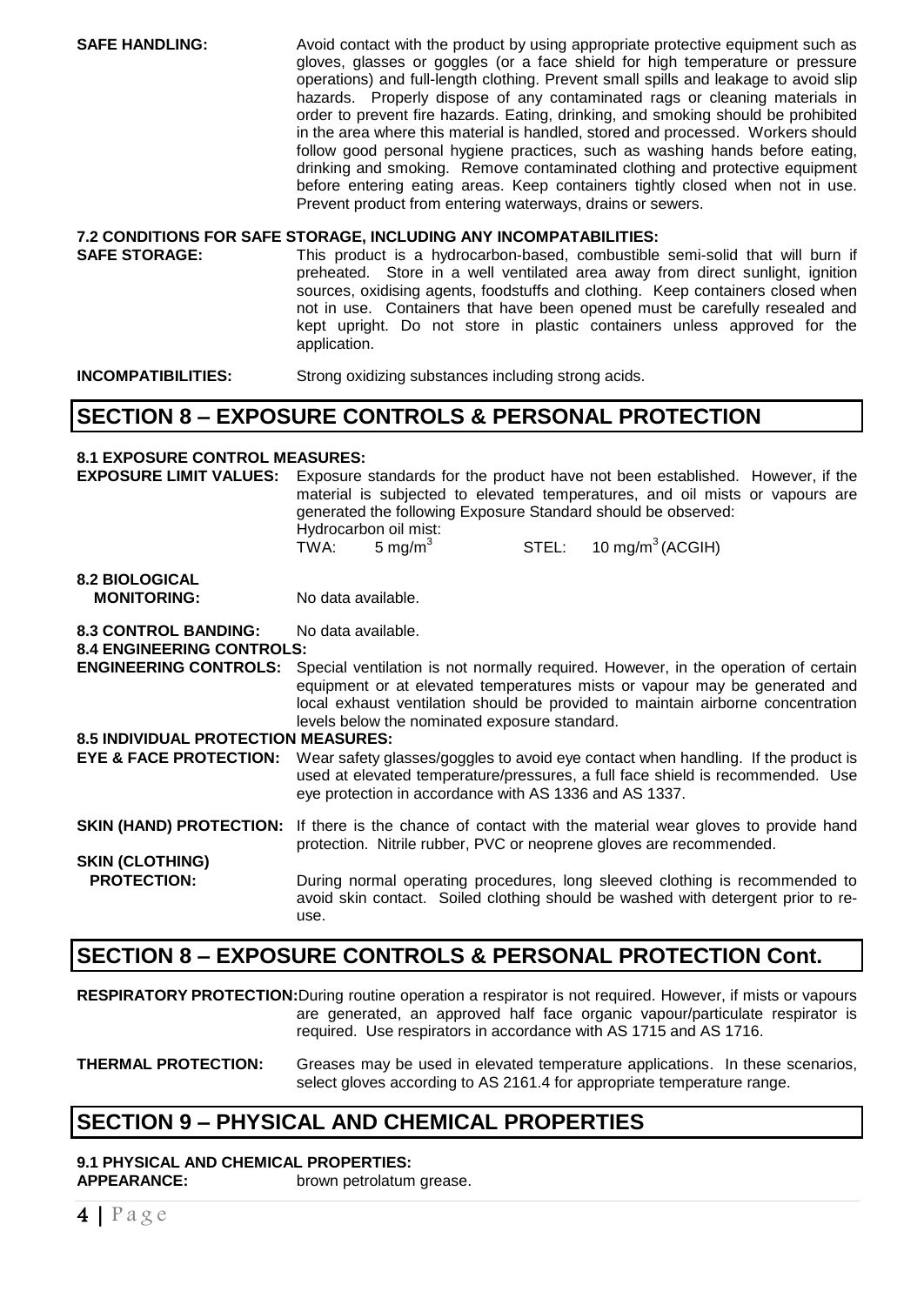**SAFE HANDLING:** Avoid contact with the product by using appropriate protective equipment such as gloves, glasses or goggles (or a face shield for high temperature or pressure operations) and full-length clothing. Prevent small spills and leakage to avoid slip hazards. Properly dispose of any contaminated rags or cleaning materials in order to prevent fire hazards. Eating, drinking, and smoking should be prohibited in the area where this material is handled, stored and processed. Workers should follow good personal hygiene practices, such as washing hands before eating, drinking and smoking. Remove contaminated clothing and protective equipment before entering eating areas. Keep containers tightly closed when not in use. Prevent product from entering waterways, drains or sewers.

# **7.2 CONDITIONS FOR SAFE STORAGE, INCLUDING ANY INCOMPATABILITIES:**

**SAFE STORAGE:** This product is a hydrocarbon-based, combustible semi-solid that will burn if preheated. Store in a well ventilated area away from direct sunlight, ignition sources, oxidising agents, foodstuffs and clothing. Keep containers closed when not in use. Containers that have been opened must be carefully resealed and kept upright. Do not store in plastic containers unless approved for the application.

**INCOMPATIBILITIES:** Strong oxidizing substances including strong acids.

### **SECTION 8 – EXPOSURE CONTROLS & PERSONAL PROTECTION**

#### **8.1 EXPOSURE CONTROL MEASURES:**

**EXPOSURE LIMIT VALUES:** Exposure standards for the product have not been established. However, if the material is subjected to elevated temperatures, and oil mists or vapours are generated the following Exposure Standard should be observed: Hydrocarbon oil mist: TWA:  $5 \text{ mg/m}^3$  $STEL: 10 mg/m<sup>3</sup> (ACGIH)$ 

#### **8.2 BIOLOGICAL MONITORING:** No data available.

**8.3 CONTROL BANDING:** No data available.

**8.4 ENGINEERING CONTROLS:**

**ENGINEERING CONTROLS:** Special ventilation is not normally required. However, in the operation of certain equipment or at elevated temperatures mists or vapour may be generated and local exhaust ventilation should be provided to maintain airborne concentration levels below the nominated exposure standard.

#### **8.5 INDIVIDUAL PROTECTION MEASURES:**

**EYE & FACE PROTECTION:** Wear safety glasses/goggles to avoid eye contact when handling. If the product is used at elevated temperature/pressures, a full face shield is recommended. Use eye protection in accordance with AS 1336 and AS 1337.

#### **SKIN (HAND) PROTECTION:** If there is the chance of contact with the material wear gloves to provide hand protection. Nitrile rubber, PVC or neoprene gloves are recommended. **SKIN (CLOTHING)**

**PROTECTION:** During normal operating procedures, long sleeved clothing is recommended to avoid skin contact. Soiled clothing should be washed with detergent prior to reuse.

### **SECTION 8 – EXPOSURE CONTROLS & PERSONAL PROTECTION Cont.**

**RESPIRATORY PROTECTION:**During routine operation a respirator is not required. However, if mists or vapours are generated, an approved half face organic vapour/particulate respirator is required. Use respirators in accordance with AS 1715 and AS 1716.

**THERMAL PROTECTION:** Greases may be used in elevated temperature applications. In these scenarios, select gloves according to AS 2161.4 for appropriate temperature range.

# **SECTION 9 – PHYSICAL AND CHEMICAL PROPERTIES**

#### **9.1 PHYSICAL AND CHEMICAL PROPERTIES: APPEARANCE:** brown petrolatum grease.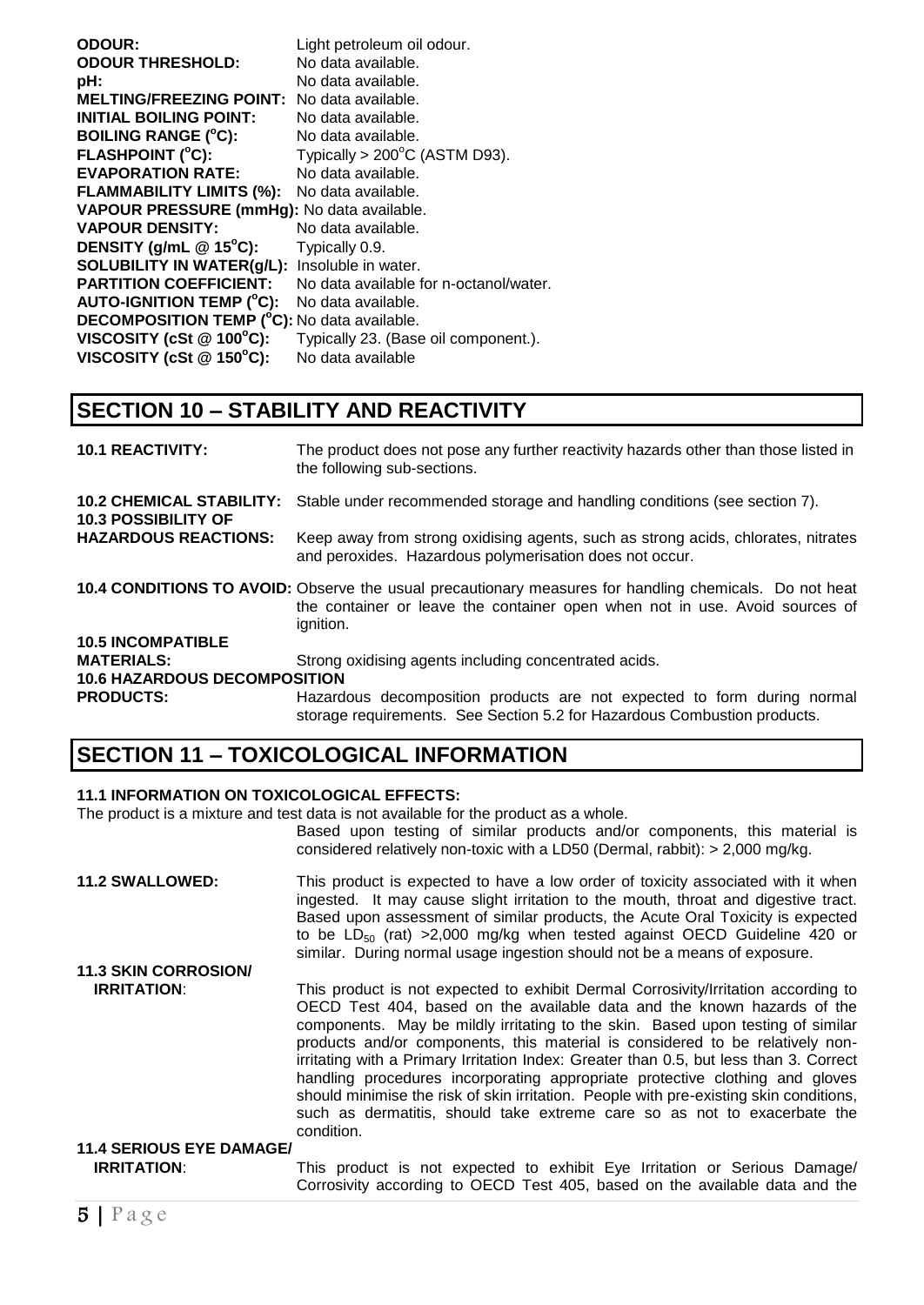| <b>ODOUR:</b>                                        | Light petroleum oil odour.              |
|------------------------------------------------------|-----------------------------------------|
| <b>ODOUR THRESHOLD:</b>                              | No data available.                      |
| pH:                                                  | No data available.                      |
| <b>MELTING/FREEZING POINT:</b>                       | No data available.                      |
| <b>INITIAL BOILING POINT:</b>                        | No data available.                      |
| <b>BOILING RANGE (°C):</b>                           | No data available.                      |
| <b>FLASHPOINT (°C):</b>                              | Typically > $200^{\circ}$ C (ASTM D93). |
| <b>EVAPORATION RATE:</b>                             | No data available.                      |
| <b>FLAMMABILITY LIMITS (%):</b>                      | No data available.                      |
| VAPOUR PRESSURE (mmHg): No data available.           |                                         |
| <b>VAPOUR DENSITY:</b>                               | No data available.                      |
| DENSITY (g/mL $@$ 15°C):                             | Typically 0.9.                          |
| <b>SOLUBILITY IN WATER(g/L):</b> Insoluble in water. |                                         |
| <b>PARTITION COEFFICIENT:</b>                        | No data available for n-octanol/water.  |
| <b>AUTO-IGNITION TEMP (°C):</b>                      | No data available.                      |
| <b>DECOMPOSITION TEMP (°C):</b> No data available.   |                                         |
| VISCOSITY (cSt $@$ 100 $°C$ ):                       | Typically 23. (Base oil component.).    |
| VISCOSITY (cSt @ 150°C):                             | No data available                       |

# **SECTION 10 – STABILITY AND REACTIVITY**

| <b>10.1 REACTIVITY:</b>                                       | The product does not pose any further reactivity hazards other than those listed in<br>the following sub-sections.                                                                                 |
|---------------------------------------------------------------|----------------------------------------------------------------------------------------------------------------------------------------------------------------------------------------------------|
| <b>10.2 CHEMICAL STABILITY:</b><br><b>10.3 POSSIBILITY OF</b> | Stable under recommended storage and handling conditions (see section 7).                                                                                                                          |
| <b>HAZARDOUS REACTIONS:</b>                                   | Keep away from strong oxidising agents, such as strong acids, chlorates, nitrates<br>and peroxides. Hazardous polymerisation does not occur.                                                       |
|                                                               | 10.4 CONDITIONS TO AVOID: Observe the usual precautionary measures for handling chemicals. Do not heat<br>the container or leave the container open when not in use. Avoid sources of<br>ignition. |
| <b>10.5 INCOMPATIBLE</b>                                      |                                                                                                                                                                                                    |
| <b>MATERIALS:</b>                                             | Strong oxidising agents including concentrated acids.                                                                                                                                              |
| <b>10.6 HAZARDOUS DECOMPOSITION</b>                           |                                                                                                                                                                                                    |
| <b>PRODUCTS:</b>                                              | Hazardous decomposition products are not expected to form during normal<br>storage requirements. See Section 5.2 for Hazardous Combustion products.                                                |

# **SECTION 11 – TOXICOLOGICAL INFORMATION**

#### **11.1 INFORMATION ON TOXICOLOGICAL EFFECTS:**

The product is a mixture and test data is not available for the product as a whole.

Based upon testing of similar products and/or components, this material is considered relatively non-toxic with a LD50 (Dermal, rabbit): > 2,000 mg/kg.

| <b>11.2 SWALLOWED:</b>          | This product is expected to have a low order of toxicity associated with it when<br>ingested. It may cause slight irritation to the mouth, throat and digestive tract.<br>Based upon assessment of similar products, the Acute Oral Toxicity is expected<br>to be $LD_{50}$ (rat) >2,000 mg/kg when tested against OECD Guideline 420 or<br>similar. During normal usage ingestion should not be a means of exposure.                                                                                                                                                                                                                                                                           |
|---------------------------------|-------------------------------------------------------------------------------------------------------------------------------------------------------------------------------------------------------------------------------------------------------------------------------------------------------------------------------------------------------------------------------------------------------------------------------------------------------------------------------------------------------------------------------------------------------------------------------------------------------------------------------------------------------------------------------------------------|
| <b>11.3 SKIN CORROSION/</b>     |                                                                                                                                                                                                                                                                                                                                                                                                                                                                                                                                                                                                                                                                                                 |
| <b>IRRITATION:</b>              | This product is not expected to exhibit Dermal Corrosivity/Irritation according to<br>OECD Test 404, based on the available data and the known hazards of the<br>components. May be mildly irritating to the skin. Based upon testing of similar<br>products and/or components, this material is considered to be relatively non-<br>irritating with a Primary Irritation Index: Greater than 0.5, but less than 3. Correct<br>handling procedures incorporating appropriate protective clothing and gloves<br>should minimise the risk of skin irritation. People with pre-existing skin conditions,<br>such as dermatitis, should take extreme care so as not to exacerbate the<br>condition. |
| <b>11.4 SERIOUS EYE DAMAGE/</b> |                                                                                                                                                                                                                                                                                                                                                                                                                                                                                                                                                                                                                                                                                                 |
| <b>IRRITATION:</b>              | This product is not expected to exhibit Eye Irritation or Serious Damage/                                                                                                                                                                                                                                                                                                                                                                                                                                                                                                                                                                                                                       |

Corrosivity according to OECD Test 405, based on the available data and the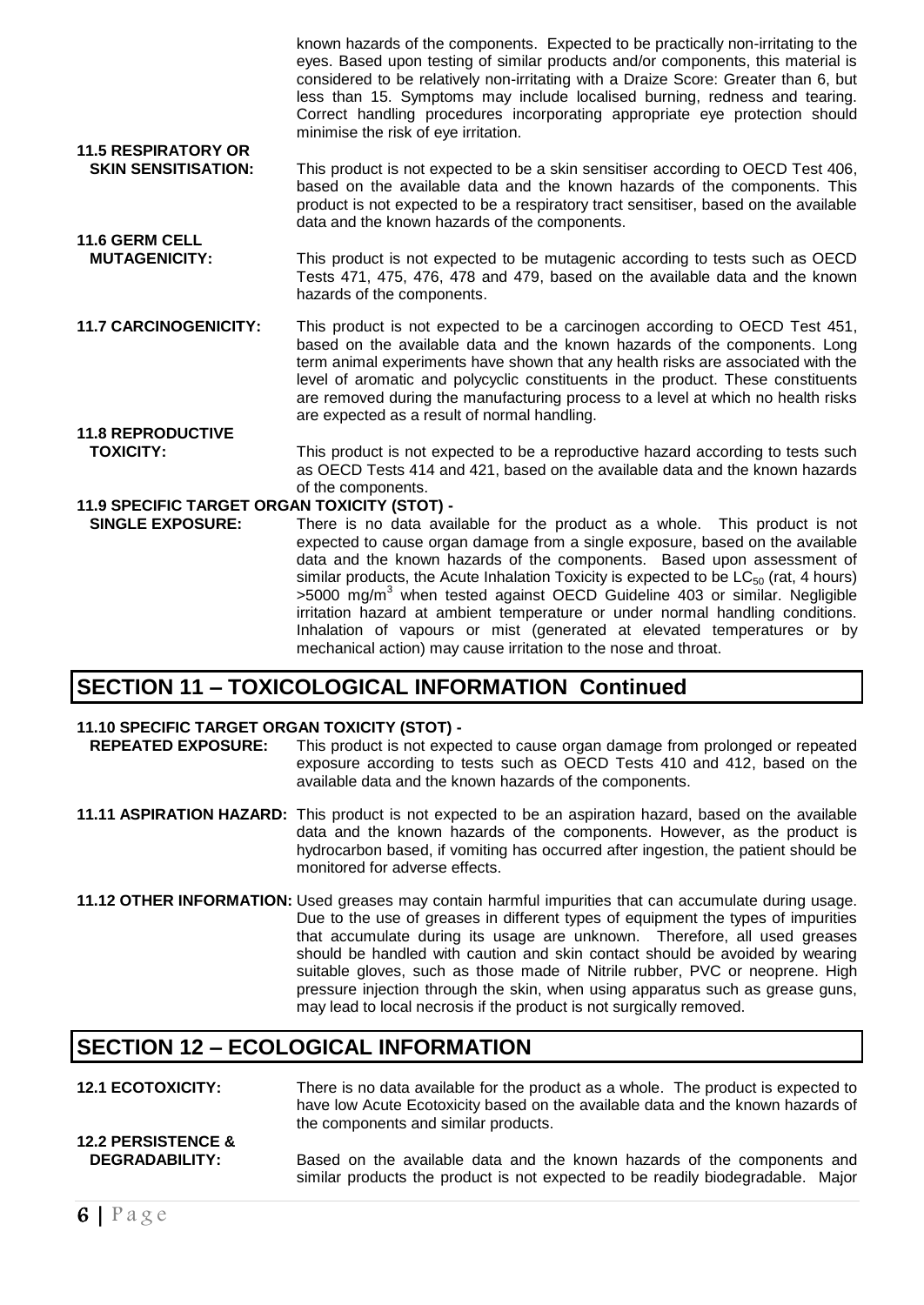known hazards of the components. Expected to be practically non-irritating to the eyes. Based upon testing of similar products and/or components, this material is considered to be relatively non-irritating with a Draize Score: Greater than 6, but less than 15. Symptoms may include localised burning, redness and tearing. Correct handling procedures incorporating appropriate eye protection should minimise the risk of eye irritation. **11.5 RESPIRATORY OR SKIN SENSITISATION:** This product is not expected to be a skin sensitiser according to OECD Test 406, based on the available data and the known hazards of the components. This

- product is not expected to be a respiratory tract sensitiser, based on the available data and the known hazards of the components. **11.6 GERM CELL**
- **MUTAGENICITY:** This product is not expected to be mutagenic according to tests such as OECD Tests 471, 475, 476, 478 and 479, based on the available data and the known hazards of the components.
- **11.7 CARCINOGENICITY:** This product is not expected to be a carcinogen according to OECD Test 451, based on the available data and the known hazards of the components. Long term animal experiments have shown that any health risks are associated with the level of aromatic and polycyclic constituents in the product. These constituents are removed during the manufacturing process to a level at which no health risks are expected as a result of normal handling.
- **11.8 REPRODUCTIVE TOXICITY:** This product is not expected to be a reproductive hazard according to tests such as OECD Tests 414 and 421, based on the available data and the known hazards of the components.

#### **11.9 SPECIFIC TARGET ORGAN TOXICITY (STOT) -**

 **SINGLE EXPOSURE:** There is no data available for the product as a whole. This product is not expected to cause organ damage from a single exposure, based on the available data and the known hazards of the components. Based upon assessment of similar products, the Acute Inhalation Toxicity is expected to be  $LC_{50}$  (rat, 4 hours) >5000 mg/m<sup>3</sup> when tested against OECD Guideline 403 or similar. Negligible irritation hazard at ambient temperature or under normal handling conditions. Inhalation of vapours or mist (generated at elevated temperatures or by mechanical action) may cause irritation to the nose and throat.

### **SECTION 11 – TOXICOLOGICAL INFORMATION Continued**

# **11.10 SPECIFIC TARGET ORGAN TOXICITY (STOT) -**

- This product is not expected to cause organ damage from prolonged or repeated exposure according to tests such as OECD Tests 410 and 412, based on the available data and the known hazards of the components.
- **11.11 ASPIRATION HAZARD:** This product is not expected to be an aspiration hazard, based on the available data and the known hazards of the components. However, as the product is hydrocarbon based, if vomiting has occurred after ingestion, the patient should be monitored for adverse effects.
- **11.12 OTHER INFORMATION:** Used greases may contain harmful impurities that can accumulate during usage. Due to the use of greases in different types of equipment the types of impurities that accumulate during its usage are unknown. Therefore, all used greases should be handled with caution and skin contact should be avoided by wearing suitable gloves, such as those made of Nitrile rubber, PVC or neoprene. High pressure injection through the skin, when using apparatus such as grease guns, may lead to local necrosis if the product is not surgically removed.

### **SECTION 12 – ECOLOGICAL INFORMATION**

- **12.1 ECOTOXICITY:** There is no data available for the product as a whole. The product is expected to have low Acute Ecotoxicity based on the available data and the known hazards of the components and similar products. **12.2 PERSISTENCE &**
- **DEGRADABILITY:** Based on the available data and the known hazards of the components and similar products the product is not expected to be readily biodegradable. Major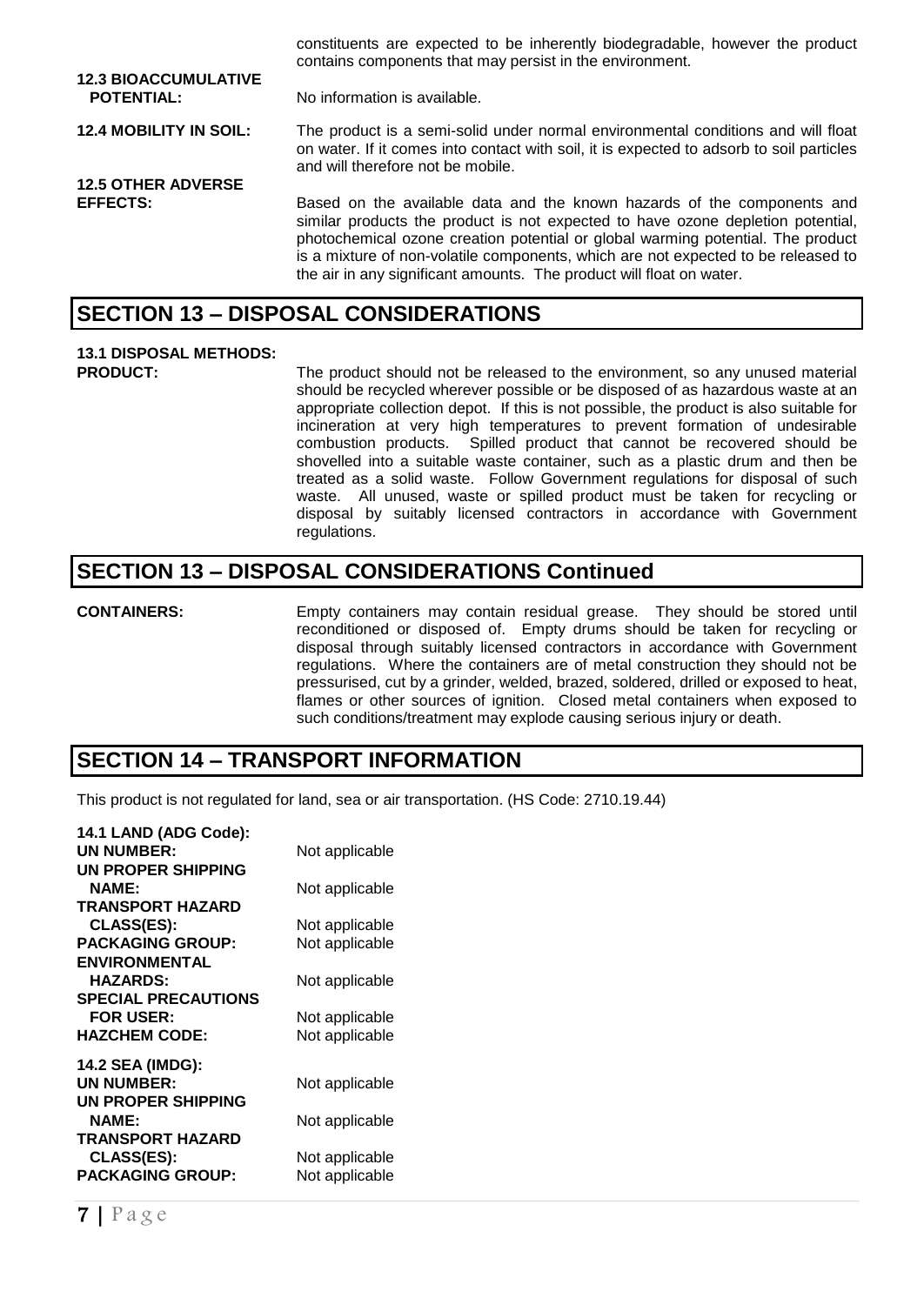|                                                  | constituents are expected to be inherently biodegradable, however the product<br>contains components that may persist in the environment.                                                                                                                                                                                                                                                                  |
|--------------------------------------------------|------------------------------------------------------------------------------------------------------------------------------------------------------------------------------------------------------------------------------------------------------------------------------------------------------------------------------------------------------------------------------------------------------------|
| <b>12.3 BIOACCUMULATIVE</b><br><b>POTENTIAL:</b> | No information is available.                                                                                                                                                                                                                                                                                                                                                                               |
| <b>12.4 MOBILITY IN SOIL:</b>                    | The product is a semi-solid under normal environmental conditions and will float<br>on water. If it comes into contact with soil, it is expected to adsorb to soil particles<br>and will therefore not be mobile.                                                                                                                                                                                          |
| <b>12.5 OTHER ADVERSE</b>                        |                                                                                                                                                                                                                                                                                                                                                                                                            |
| <b>EFFECTS:</b>                                  | Based on the available data and the known hazards of the components and<br>similar products the product is not expected to have ozone depletion potential,<br>photochemical ozone creation potential or global warming potential. The product<br>is a mixture of non-volatile components, which are not expected to be released to<br>the air in any significant amounts. The product will float on water. |
|                                                  |                                                                                                                                                                                                                                                                                                                                                                                                            |

#### **SECTION 13 – DISPOSAL CONSIDERATIONS**

# **13.1 DISPOSAL METHODS:**

The product should not be released to the environment, so any unused material should be recycled wherever possible or be disposed of as hazardous waste at an appropriate collection depot. If this is not possible, the product is also suitable for incineration at very high temperatures to prevent formation of undesirable combustion products. Spilled product that cannot be recovered should be shovelled into a suitable waste container, such as a plastic drum and then be treated as a solid waste. Follow Government regulations for disposal of such waste. All unused, waste or spilled product must be taken for recycling or disposal by suitably licensed contractors in accordance with Government regulations.

# **SECTION 13 – DISPOSAL CONSIDERATIONS Continued**

**CONTAINERS:** Empty containers may contain residual grease. They should be stored until reconditioned or disposed of. Empty drums should be taken for recycling or disposal through suitably licensed contractors in accordance with Government regulations. Where the containers are of metal construction they should not be pressurised, cut by a grinder, welded, brazed, soldered, drilled or exposed to heat, flames or other sources of ignition. Closed metal containers when exposed to such conditions/treatment may explode causing serious injury or death.

# **SECTION 14 – TRANSPORT INFORMATION**

This product is not regulated for land, sea or air transportation. (HS Code: 2710.19.44)

| 14.1 LAND (ADG Code):      |                |
|----------------------------|----------------|
| <b>UN NUMBER:</b>          | Not applicable |
| UN PROPER SHIPPING         |                |
| <b>NAME:</b>               | Not applicable |
| <b>TRANSPORT HAZARD</b>    |                |
| <b>CLASS(ES):</b>          | Not applicable |
| <b>PACKAGING GROUP:</b>    | Not applicable |
| <b>ENVIRONMENTAL</b>       |                |
| <b>HAZARDS:</b>            | Not applicable |
| <b>SPECIAL PRECAUTIONS</b> |                |
| <b>FOR USER:</b>           | Not applicable |
| <b>HAZCHEM CODE:</b>       | Not applicable |
| 14.2 SEA (IMDG):           |                |
| <b>UN NUMBER:</b>          | Not applicable |
| UN PROPER SHIPPING         |                |
| <b>NAME:</b>               | Not applicable |
| <b>TRANSPORT HAZARD</b>    |                |
| CLASS(ES):                 | Not applicable |
| <b>PACKAGING GROUP:</b>    | Not applicable |
|                            |                |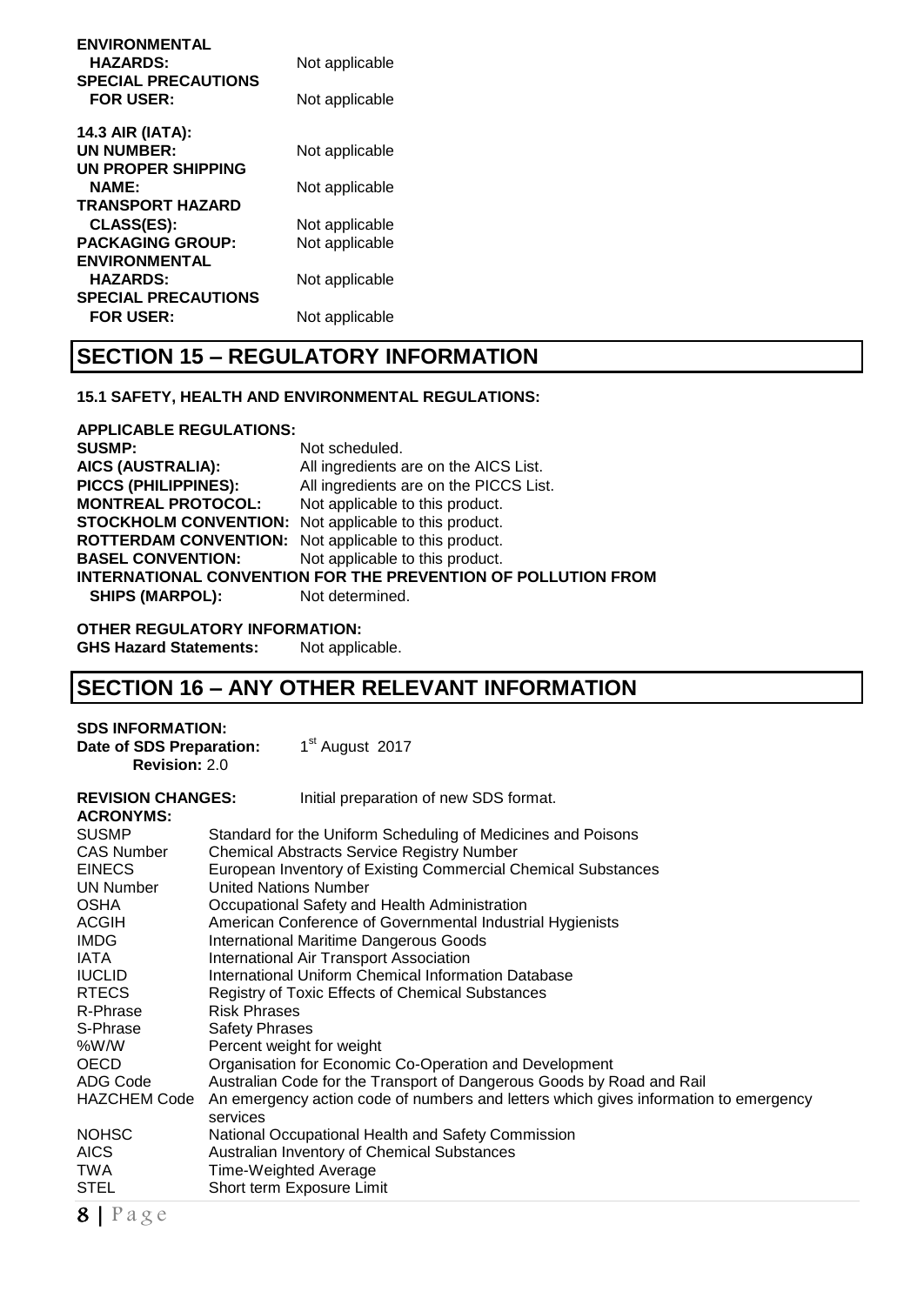| <b>ENVIRONMENTAL</b>       |                |
|----------------------------|----------------|
| <b>HAZARDS:</b>            | Not applicable |
| <b>SPECIAL PRECAUTIONS</b> |                |
| <b>FOR USER:</b>           | Not applicable |
| 14.3 AIR (IATA):           |                |
| <b>UN NUMBER:</b>          | Not applicable |
| UN PROPER SHIPPING         |                |
| NAME:                      | Not applicable |
| <b>TRANSPORT HAZARD</b>    |                |
| <b>CLASS(ES):</b>          | Not applicable |
| <b>PACKAGING GROUP:</b>    | Not applicable |
| <b>ENVIRONMENTAL</b>       |                |
| <b>HAZARDS:</b>            | Not applicable |
| <b>SPECIAL PRECAUTIONS</b> |                |
| <b>FOR USER:</b>           | Not applicable |
|                            |                |

# **SECTION 15 – REGULATORY INFORMATION**

#### **15.1 SAFETY, HEALTH AND ENVIRONMENTAL REGULATIONS:**

**APPLICABLE REGULATIONS:**

**SUSMP:** Not scheduled.<br> **AICS (AUSTRALIA):** All ingredients and **AICS (AUSTRALIA):** All ingredients are on the AICS List. All ingredients are on the PICCS List. **MONTREAL PROTOCOL:** Not applicable to this product. **STOCKHOLM CONVENTION:** Not applicable to this product. **ROTTERDAM CONVENTION:** Not applicable to this product. **BASEL CONVENTION:** Not applicable to this product. **INTERNATIONAL CONVENTION FOR THE PREVENTION OF POLLUTION FROM SHIPS (MARPOL):** Not determined.

**OTHER REGULATORY INFORMATION:**

**GHS Hazard Statements:** Not applicable.

# **SECTION 16 – ANY OTHER RELEVANT INFORMATION**

#### **SDS INFORMATION: Date of SDS Preparation:**

**Revision:** 2.0

1<sup>st</sup> August 2017

| <b>REVISION CHANGES:</b><br><b>ACRONYMS:</b> | Initial preparation of new SDS format.                                                           |
|----------------------------------------------|--------------------------------------------------------------------------------------------------|
| <b>SUSMP</b>                                 | Standard for the Uniform Scheduling of Medicines and Poisons                                     |
| <b>CAS Number</b>                            | <b>Chemical Abstracts Service Registry Number</b>                                                |
| <b>EINECS</b>                                | European Inventory of Existing Commercial Chemical Substances                                    |
| <b>UN Number</b>                             | <b>United Nations Number</b>                                                                     |
| <b>OSHA</b>                                  | Occupational Safety and Health Administration                                                    |
| ACGIH                                        | American Conference of Governmental Industrial Hygienists                                        |
| <b>IMDG</b>                                  | <b>International Maritime Dangerous Goods</b>                                                    |
| IATA                                         | International Air Transport Association                                                          |
| <b>IUCLID</b>                                | International Uniform Chemical Information Database                                              |
| <b>RTECS</b>                                 | Registry of Toxic Effects of Chemical Substances                                                 |
| R-Phrase                                     | <b>Risk Phrases</b>                                                                              |
| S-Phrase                                     | <b>Safety Phrases</b>                                                                            |
| %W/W                                         | Percent weight for weight                                                                        |
| <b>OECD</b>                                  | Organisation for Economic Co-Operation and Development                                           |
| ADG Code                                     | Australian Code for the Transport of Dangerous Goods by Road and Rail                            |
| <b>HAZCHEM Code</b>                          | An emergency action code of numbers and letters which gives information to emergency<br>services |
| <b>NOHSC</b>                                 | National Occupational Health and Safety Commission                                               |
| <b>AICS</b>                                  | Australian Inventory of Chemical Substances                                                      |
| TWA                                          | Time-Weighted Average                                                                            |
| STEL                                         | Short term Exposure Limit                                                                        |
|                                              |                                                                                                  |